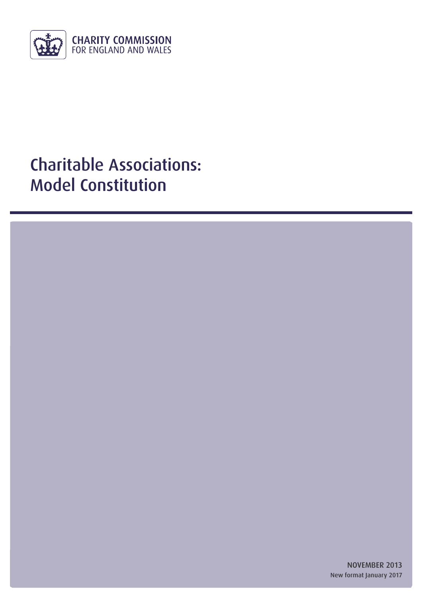

# Charitable Associations: Model Constitution

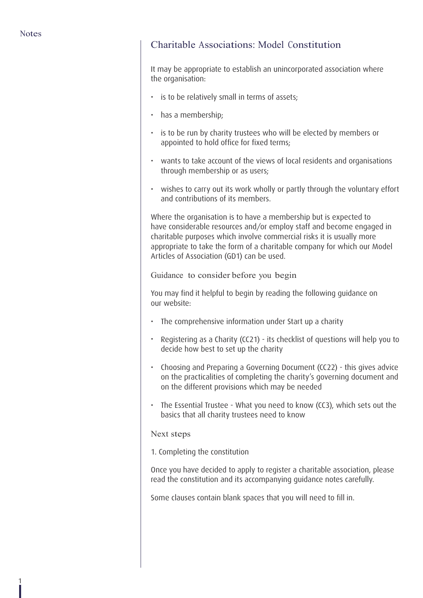1

# Charitable Associations: Model Constitution

It may be appropriate to establish an unincorporated association where the organisation:

- is to be relatively small in terms of assets;
- has a membership;
- is to be run by charity trustees who will be elected by members or appointed to hold office for fixed terms;
- wants to take account of the views of local residents and organisations through membership or as users;
- wishes to carry out its work wholly or partly through the voluntary effort and contributions of its members.

Where the organisation is to have a membership but is expected to have considerable resources and/or employ staff and become engaged in charitable purposes which involve commercial risks it is usually more appropriate to take the form of a charitable company for which our Model Articles of Association (GD1) can be used.

Guidance to consider before you begin

You may find it helpful to begin by reading the following guidance on our website:

- The comprehensive information under Start up a charity
- Registering as a Charity (CC21) its checklist of questions will help you to decide how best to set up the charity
- Choosing and Preparing a Governing Document (CC22) this gives advice on the practicalities of completing the charity's governing document and on the different provisions which may be needed
- The Essential Trustee What you need to know (CC3), which sets out the basics that all charity trustees need to know

#### Next steps

1. Completing the constitution

Once you have decided to apply to register a charitable association, please read the constitution and its accompanying guidance notes carefully.

Some clauses contain blank spaces that you will need to fill in.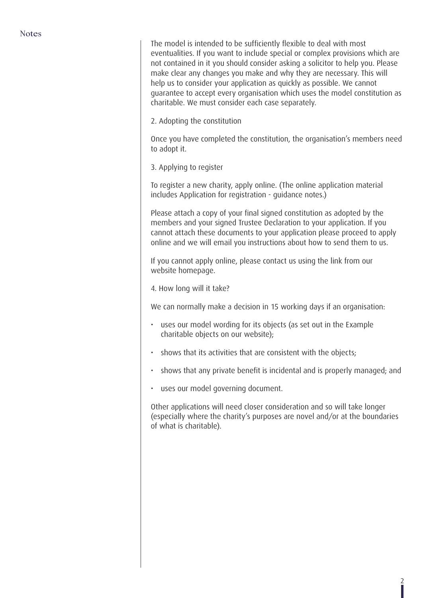The model is intended to be sufficiently flexible to deal with most eventualities. If you want to include special or complex provisions which are not contained in it you should consider asking a solicitor to help you. Please make clear any changes you make and why they are necessary. This will help us to consider your application as quickly as possible. We cannot guarantee to accept every organisation which uses the model constitution as charitable. We must consider each case separately.

2. Adopting the constitution

Once you have completed the constitution, the organisation's members need to adopt it.

3. Applying to register

To register a new charity, apply online. (The online application material includes Application for registration - guidance notes.)

Please attach a copy of your final signed constitution as adopted by the members and your signed Trustee Declaration to your application. If you cannot attach these documents to your application please proceed to apply online and we will email you instructions about how to send them to us.

If you cannot apply online, please contact us using the link from our website homepage.

4. How long will it take?

We can normally make a decision in 15 working days if an organisation:

- uses our model wording for its objects (as set out in the Example charitable objects on our website);
- shows that its activities that are consistent with the objects;
- shows that any private benefit is incidental and is properly managed; and
- uses our model governing document.

Other applications will need closer consideration and so will take longer (especially where the charity's purposes are novel and/or at the boundaries of what is charitable).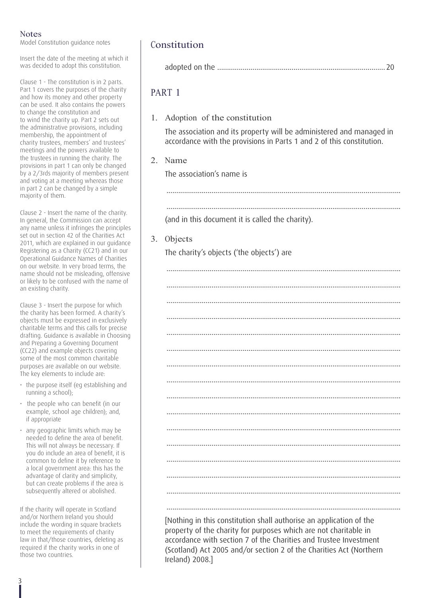Model Constitution guidance notes **Fig. 1** Constitution

Insert the date of the meeting at which it was decided to adopt this constitution.

Clause 1 - The constitution is in 2 parts. Part 1 covers the purposes of the charity and how its money and other property can be used. It also contains the powers to change the constitution and to wind the charity up. Part 2 sets out the administrative provisions, including membership, the appointment of charity trustees, members' and trustees' meetings and the powers available to the trustees in running the charity. The provisions in part 1 can only be changed by a 2/3rds majority of members present and voting at a meeting whereas those in part 2 can be changed by a simple majority of them.

Clause 2 - Insert the name of the charity. In general, the Commission can accept any name unless it infringes the principles set out in section 42 of the Charities Act 2011, which are explained in our guidance Registering as a Charity (CC21) and in our Operational Guidance Names of Charities on our website. In very broad terms, the name should not be misleading, offensive or likely to be confused with the name of an existing charity.

the charity has been formed. A charity's objects must be expressed in exclusively charitable terms and this calls for precise drafting. Guidance is available in Choosing and Preparing a Governing Document (CC22) and example objects covering some of the most common charitable purposes are available on our website. The key elements to include are:

- the purpose itself (eg establishing and running a school);
- the people who can benefit (in our example, school age children); and, if appropriate
- any geographic limits which may be needed to define the area of benefit. This will not always be necessary. If you do include an area of benefit, it is common to define it by reference to a local government area: this has the advantage of clarity and simplicity, but can create problems if the area is subsequently altered or abolished.

If the charity will operate in Scotland and/or Northern Ireland you should include the wording in square brackets to meet the requirements of charity law in that/those countries, deleting as required if the charity works in one of those two countries.

3

|--|--|

# PART 1

1. Adoption of the constitution

The association and its property will be administered and managed in accordance with the provisions in Parts 1 and 2 of this constitution.

........................................................................................................................

........................................................................................................................

2. Name

The association's name is

(and in this document it is called the charity).

3. Objects

The charity's objects ('the objects') are

........................................................................................................................ ........................................................................................................................ Clause 3 - Insert the purpose for which **Example 10** - **Insert of the purpose for which** ........................................................................................................................ ........................................................................................................................ ........................................................................................................................ ........................................................................................................................ ........................................................................................................................ ........................................................................................................................ ........................................................................................................................ ........................................................................................................................ ........................................................................................................................ ........................................................................................................................ ........................................................................................................................ ........................................................................................................................ ........................................................................................................................

> [Nothing in this constitution shall authorise an application of the property of the charity for purposes which are not charitable in accordance with section 7 of the Charities and Trustee Investment (Scotland) Act 2005 and/or section 2 of the Charities Act (Northern Ireland) 2008.]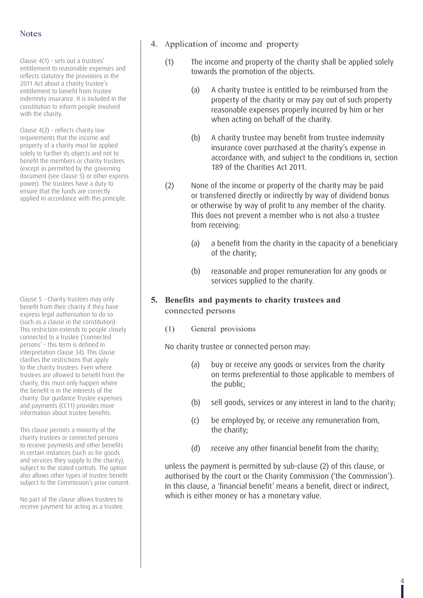Clause 4(1) - sets out a trustees' entitlement to reasonable expenses and reflects statutory the provisions in the 2011 Act about a charity trustee's entitlement to benefit from trustee indemnity insurance. It is included in the constitution to inform people involved with the charity.

Clause 4(2) - reflects charity law requirements that the income and property of a charity must be applied solely to further its objects and not to benefit the members or charity trustees (except as permitted by the governing document (see clause 5) or other express power). The trustees have a duty to ensure that the funds are correctly applied in accordance with this principle.

Clause 5 - Charity trustees may only benefit from their charity if they have express legal authorisation to do so (such as a clause in the constitution). This restriction extends to people closely connected to a trustee ('connected persons' - this term is defined in interpretation clause 34). This clause clarifies the restrictions that apply to the charity trustees. Even where trustees are allowed to benefit from the charity, this must only happen where the benefit is in the interests of the charity. Our guidance Trustee expenses and payments (CC11) provides more information about trustee benefits.

This clause permits a minority of the  $\qquad \qquad$  the charity; charity trustees or connected persons to receive payments and other benefits in certain instances (such as for goods and services they supply to the charity), subject to the stated controls. The option also allows other types of trustee benefit subject to the Commission's prior consent.

receive payment for acting as a trustee.

- 4. Application of income and property
	- (1) The income and property of the charity shall be applied solely towards the promotion of the objects.
		- (a) A charity trustee is entitled to be reimbursed from the property of the charity or may pay out of such property reasonable expenses properly incurred by him or her when acting on behalf of the charity.
		- (b) A charity trustee may benefit from trustee indemnity insurance cover purchased at the charity's expense in accordance with, and subject to the conditions in, section 189 of the Charities Act 2011.
	- (2) None of the income or property of the charity may be paid or transferred directly or indirectly by way of dividend bonus or otherwise by way of profit to any member of the charity. This does not prevent a member who is not also a trustee from receiving:
		- (a) a benefit from the charity in the capacity of a beneficiary of the charity;
		- (b) reasonable and proper remuneration for any goods or services supplied to the charity.
- **5. Benefits and payments to charity trustees and** connected persons
	- (1) General provisions

No charity trustee or connected person may:

- (a) buy or receive any goods or services from the charity on terms preferential to those applicable to members of the public;
- (b) sell goods, services or any interest in land to the charity;
- (c) be employed by, or receive any remuneration from,
- (d) receive any other financial benefit from the charity;

unless the payment is permitted by sub-clause (2) of this clause, or authorised by the court or the Charity Commission ('the Commission'). In this clause, a 'financial benefit' means a benefit, direct or indirect, which is either money or has a monetary value. No part of the clause allows trustees to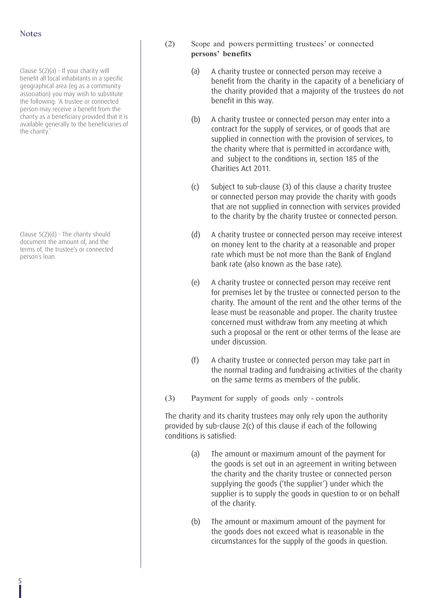Clause  $5(2)(a)$  - If your charity will benefit all local inhabitants in a specific geographical area (eg as a community association) you may wish to substitute the following: 'A trustee or connected person may receive a benefit from the charity as a beneficiary provided that it is available generally to the beneficiaries of the charity.'

Clause  $5(2)(d)$  - The charity should document the amount of, and the terms of, the trustee's or connected person's loan.

5

- (2) Scope and powers permitting trustees' or connected **persons' benefits**
	- (a) A charity trustee or connected person may receive a benefit from the charity in the capacity of a beneficiary of the charity provided that a majority of the trustees do not benefit in this way.
	- (b) A charity trustee or connected person may enter into a contract for the supply of services, or of goods that are supplied in connection with the provision of services, to the charity where that is permitted in accordance with, and subject to the conditions in, section 185 of the Charities Act 2011.
	- (c) Subject to sub-clause (3) of this clause a charity trustee or connected person may provide the charity with goods that are not supplied in connection with services provided to the charity by the charity trustee or connected person.
	- (d) A charity trustee or connected person may receive interest on money lent to the charity at a reasonable and proper rate which must be not more than the Bank of England bank rate (also known as the base rate).
	- (e) A charity trustee or connected person may receive rent for premises let by the trustee or connected person to the charity. The amount of the rent and the other terms of the lease must be reasonable and proper. The charity trustee concerned must withdraw from any meeting at which such a proposal or the rent or other terms of the lease are under discussion.
	- (f) A charity trustee or connected person may take part in the normal trading and fundraising activities of the charity on the same terms as members of the public.
- (3) Payment for supply of goods only controls

The charity and its charity trustees may only rely upon the authority provided by sub-clause 2(c) of this clause if each of the following conditions is satisfied:

- (a) The amount or maximum amount of the payment for the goods is set out in an agreement in writing between the charity and the charity trustee or connected person supplying the goods ('the supplier') under which the supplier is to supply the goods in question to or on behalf of the charity.
- (b) The amount or maximum amount of the payment for the goods does not exceed what is reasonable in the circumstances for the supply of the goods in question.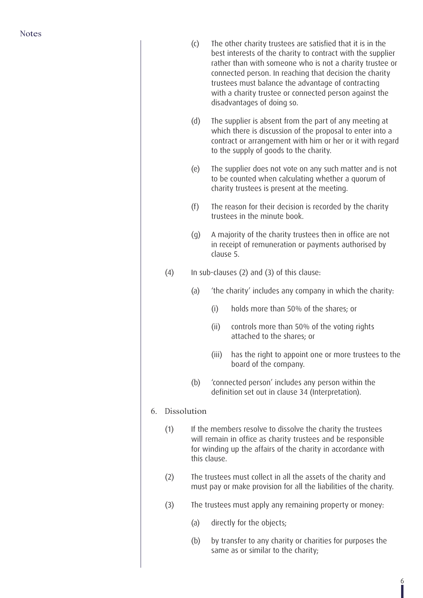(c) The other charity trustees are satisfied that it is in the best interests of the charity to contract with the supplier rather than with someone who is not a charity trustee or connected person. In reaching that decision the charity trustees must balance the advantage of contracting with a charity trustee or connected person against the disadvantages of doing so. (d) The supplier is absent from the part of any meeting at which there is discussion of the proposal to enter into a contract or arrangement with him or her or it with regard to the supply of goods to the charity. (e) The supplier does not vote on any such matter and is not to be counted when calculating whether a quorum of charity trustees is present at the meeting. (f) The reason for their decision is recorded by the charity trustees in the minute book. (g) A majority of the charity trustees then in office are not in receipt of remuneration or payments authorised by clause 5. (4) In sub-clauses (2) and (3) of this clause: (a) 'the charity' includes any company in which the charity: (i) holds more than 50% of the shares; or (ii) controls more than 50% of the voting rights attached to the shares; or (iii) has the right to appoint one or more trustees to the board of the company. (b) 'connected person' includes any person within the definition set out in clause 34 (Interpretation). 6. Dissolution (1) If the members resolve to dissolve the charity the trustees will remain in office as charity trustees and be responsible for winding up the affairs of the charity in accordance with this clause. (2) The trustees must collect in all the assets of the charity and must pay or make provision for all the liabilities of the charity. (3) The trustees must apply any remaining property or money: (a) directly for the objects; (b) by transfer to any charity or charities for purposes the same as or similar to the charity;

6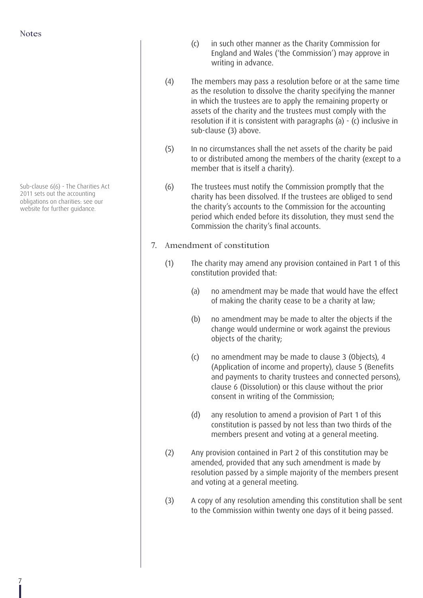7

Sub-clause 6(6) - The Charities Act 2011 sets out the accounting obligations on charities: see our website for further guidance.

- (c) in such other manner as the Charity Commission for England and Wales ('the Commission') may approve in writing in advance.
- (4) The members may pass a resolution before or at the same time as the resolution to dissolve the charity specifying the manner in which the trustees are to apply the remaining property or assets of the charity and the trustees must comply with the resolution if it is consistent with paragraphs (a) - (c) inclusive in sub-clause (3) above.
- (5) In no circumstances shall the net assets of the charity be paid to or distributed among the members of the charity (except to a member that is itself a charity).
- (6) The trustees must notify the Commission promptly that the charity has been dissolved. If the trustees are obliged to send the charity's accounts to the Commission for the accounting period which ended before its dissolution, they must send the Commission the charity's final accounts.
- 7. Amendment of constitution
	- (1) The charity may amend any provision contained in Part 1 of this constitution provided that:
		- (a) no amendment may be made that would have the effect of making the charity cease to be a charity at law;
		- (b) no amendment may be made to alter the objects if the change would undermine or work against the previous objects of the charity;
		- (c) no amendment may be made to clause 3 (Objects), 4 (Application of income and property), clause 5 (Benefits and payments to charity trustees and connected persons), clause 6 (Dissolution) or this clause without the prior consent in writing of the Commission;
		- (d) any resolution to amend a provision of Part 1 of this constitution is passed by not less than two thirds of the members present and voting at a general meeting.
	- (2) Any provision contained in Part 2 of this constitution may be amended, provided that any such amendment is made by resolution passed by a simple majority of the members present and voting at a general meeting.
	- (3) A copy of any resolution amending this constitution shall be sent to the Commission within twenty one days of it being passed.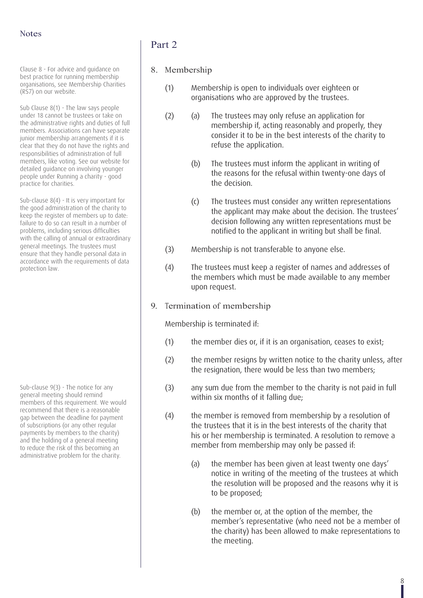Clause 8 - For advice and guidance on **8. Membership** best practice for running membership organisations, see Membership Charities<br>(RS7) on our website.

Sub Clause 8(1) - The law says people under 18 cannot be trustees or take on the administrative rights and duties of full members. Associations can have separate junior membership arrangements if it is clear that they do not have the rights and responsibilities of administration of full members, like voting. See our website for detailed guidance on involving younger people under Running a charity - good practice for charities.

Sub-clause 8(4) - It is very important for the good administration of the charity to keep the register of members up to date: failure to do so can result in a number of problems, including serious difficulties with the calling of annual or extraordinary general meetings. The trustees must ensure that they handle personal data in accordance with the requirements of data protection law.

Sub-clause 9(3) - The notice for any general meeting should remind members of this requirement. We would recommend that there is a reasonable gap between the deadline for payment of subscriptions (or any other regular payments by members to the charity) and the holding of a general meeting to reduce the risk of this becoming an administrative problem for the charity.

# Part 2

- - (1) Membership is open to individuals over eighteen or organisations who are approved by the trustees.
	- (2) (a) The trustees may only refuse an application for membership if, acting reasonably and properly, they consider it to be in the best interests of the charity to refuse the application.
		- (b) The trustees must inform the applicant in writing of the reasons for the refusal within twenty-one days of the decision.
		- (c) The trustees must consider any written representations the applicant may make about the decision. The trustees' decision following any written representations must be notified to the applicant in writing but shall be final.
	- (3) Membership is not transferable to anyone else.
	- (4) The trustees must keep a register of names and addresses of the members which must be made available to any member upon request.
- 9. Termination of membership

Membership is terminated if:

- (1) the member dies or, if it is an organisation, ceases to exist;
- (2) the member resigns by written notice to the charity unless, after the resignation, there would be less than two members;
- (3) any sum due from the member to the charity is not paid in full within six months of it falling due;
- (4) the member is removed from membership by a resolution of the trustees that it is in the best interests of the charity that his or her membership is terminated. A resolution to remove a member from membership may only be passed if:
	- (a) the member has been given at least twenty one days' notice in writing of the meeting of the trustees at which the resolution will be proposed and the reasons why it is to be proposed;
	- (b) the member or, at the option of the member, the member's representative (who need not be a member of the charity) has been allowed to make representations to the meeting.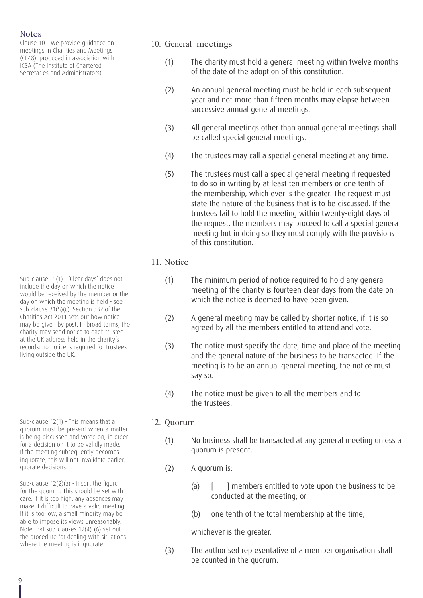Clause 10 - We provide guidance on meetings in Charities and Meetings (CC48), produced in association with ICSA (The Institute of Chartered Secretaries and Administrators).

Sub-clause 11(1) - 'Clear days' does not include the day on which the notice would be received by the member or the day on which the meeting is held - see sub-clause 31(5)(c). Section 332 of the Charities Act 2011 sets out how notice may be given by post. In broad terms, the charity may send notice to each trustee at the UK address held in the charity's records: no notice is required for trustees living outside the UK.

Sub-clause 12(1) - This means that a  $12.$  Quorum quorum must be present when a matter is being discussed and voted on, in order for a decision on it to be validly made. If the meeting subsequently becomes inquorate, this will not invalidate earlier, quorate decisions.

Sub-clause 12(2)(a) - Insert the figure for the quorum. This should be set with care. If it is too high, any absences may make it difficult to have a valid meeting. If it is too low, a small minority may be able to impose its views unreasonably. Note that sub-clauses 12(4)-(6) set out the procedure for dealing with situations where the meeting is inquorate.

- 10. General meetings
	- (1) The charity must hold a general meeting within twelve months of the date of the adoption of this constitution.
	- (2) An annual general meeting must be held in each subsequent year and not more than fifteen months may elapse between successive annual general meetings.
	- (3) All general meetings other than annual general meetings shall be called special general meetings.
	- (4) The trustees may call a special general meeting at any time.
	- (5) The trustees must call a special general meeting if requested to do so in writing by at least ten members or one tenth of the membership, which ever is the greater. The request must state the nature of the business that is to be discussed. If the trustees fail to hold the meeting within twenty-eight days of the request, the members may proceed to call a special general meeting but in doing so they must comply with the provisions of this constitution.

# 11. Notice

- (1) The minimum period of notice required to hold any general meeting of the charity is fourteen clear days from the date on which the notice is deemed to have been given.
- (2) A general meeting may be called by shorter notice, if it is so agreed by all the members entitled to attend and vote.
- (3) The notice must specify the date, time and place of the meeting and the general nature of the business to be transacted. If the meeting is to be an annual general meeting, the notice must say so.
- (4) The notice must be given to all the members and to the trustees.
- - (1) No business shall be transacted at any general meeting unless a quorum is present.
	- (2) A quorum is:
		- (a)  $\left[ \begin{array}{cc} \end{array} \right]$  members entitled to vote upon the business to be conducted at the meeting; or
		- (b) one tenth of the total membership at the time,

whichever is the greater.

(3) The authorised representative of a member organisation shall be counted in the quorum.

9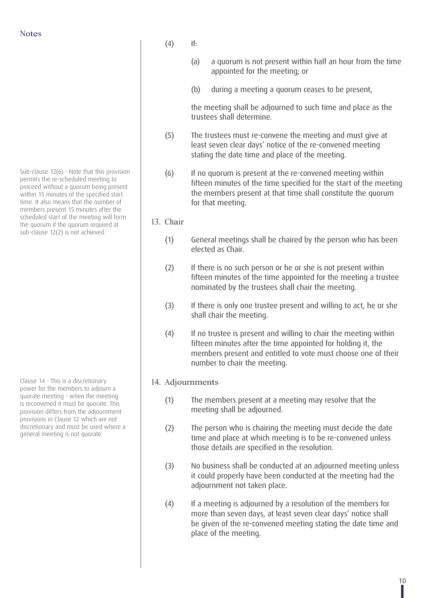Sub-clause 12(6) - Note that this provision permits the re-scheduled meeting to proceed without a quorum being present within 15 minutes of the specified start time. It also means that the number of members present 15 minutes after the scheduled start of the meeting will form the quorum if the quorum required at sub-clause 12(2) is not achieved.

Clause 14 - This is a discretionary 14. Adjournments power for the members to adjourn a quorate meeting - when the meeting is reconvened it must be quorate. This provision differs from the adjournment provisions in Clause 12 which are not discretionary and must be used where a general meeting is not quorate.

# $(4)$  If:

- (a) a quorum is not present within half an hour from the time appointed for the meeting; or
- (b) during a meeting a quorum ceases to be present,

the meeting shall be adjourned to such time and place as the trustees shall determine.

- (5) The trustees must re-convene the meeting and must give at least seven clear days' notice of the re-convened meeting stating the date time and place of the meeting.
- (6) If no quorum is present at the re-convened meeting within fifteen minutes of the time specified for the start of the meeting the members present at that time shall constitute the quorum for that meeting.

# 13. Chair

- (1) General meetings shall be chaired by the person who has been elected as Chair.
- (2) If there is no such person or he or she is not present within fifteen minutes of the time appointed for the meeting a trustee nominated by the trustees shall chair the meeting.
- (3) If there is only one trustee present and willing to act, he or she shall chair the meeting.
- (4) If no trustee is present and willing to chair the meeting within fifteen minutes after the time appointed for holding it, the members present and entitled to vote must choose one of their number to chair the meeting.
- - (1) The members present at a meeting may resolve that the meeting shall be adjourned.
	- (2) The person who is chairing the meeting must decide the date time and place at which meeting is to be re-convened unless those details are specified in the resolution.
	- (3) No business shall be conducted at an adjourned meeting unless it could properly have been conducted at the meeting had the adjournment not taken place.
	- (4) If a meeting is adjourned by a resolution of the members for more than seven days, at least seven clear days' notice shall be given of the re-convened meeting stating the date time and place of the meeting.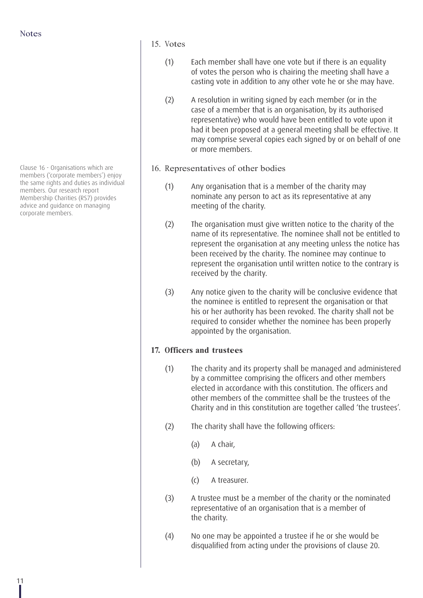members ('corporate members') enjoy the same rights and duties as individual members. Our research report Membership Charities (RS7) provides advice and guidance on managing corporate members.

# 15. Votes

- (1) Each member shall have one vote but if there is an equality of votes the person who is chairing the meeting shall have a casting vote in addition to any other vote he or she may have.
- (2) A resolution in writing signed by each member (or in the case of a member that is an organisation, by its authorised representative) who would have been entitled to vote upon it had it been proposed at a general meeting shall be effective. It may comprise several copies each signed by or on behalf of one or more members.
- Clause 16 Organisations which are 16. Representatives of other bodies
	- (1) Any organisation that is a member of the charity may nominate any person to act as its representative at any meeting of the charity.
	- (2) The organisation must give written notice to the charity of the name of its representative. The nominee shall not be entitled to represent the organisation at any meeting unless the notice has been received by the charity. The nominee may continue to represent the organisation until written notice to the contrary is received by the charity.
	- (3) Any notice given to the charity will be conclusive evidence that the nominee is entitled to represent the organisation or that his or her authority has been revoked. The charity shall not be required to consider whether the nominee has been properly appointed by the organisation.

# **17. Officers and trustees**

- (1) The charity and its property shall be managed and administered by a committee comprising the officers and other members elected in accordance with this constitution. The officers and other members of the committee shall be the trustees of the Charity and in this constitution are together called 'the trustees'.
- (2) The charity shall have the following officers:
	- (a) A chair,
	- (b) A secretary,
	- (c) A treasurer.
- (3) A trustee must be a member of the charity or the nominated representative of an organisation that is a member of the charity.
- (4) No one may be appointed a trustee if he or she would be disqualified from acting under the provisions of clause 20.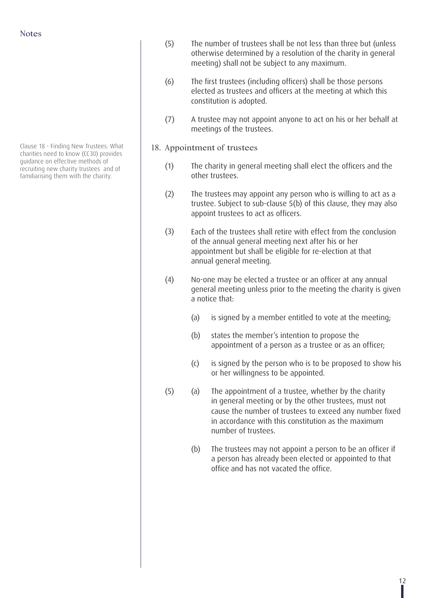Clause 18 - Finding New Trustees: What charities need to know (CC30) provides guidance on effective methods of recruiting new charity trustees and of familiarising them with the charity.

- (5) The number of trustees shall be not less than three but (unless otherwise determined by a resolution of the charity in general meeting) shall not be subject to any maximum.
- (6) The first trustees (including officers) shall be those persons elected as trustees and officers at the meeting at which this constitution is adopted.
- (7) A trustee may not appoint anyone to act on his or her behalf at meetings of the trustees.
- 18. Appointment of trustees
	- (1) The charity in general meeting shall elect the officers and the other trustees.
	- (2) The trustees may appoint any person who is willing to act as a trustee. Subject to sub-clause 5(b) of this clause, they may also appoint trustees to act as officers.
	- (3) Each of the trustees shall retire with effect from the conclusion of the annual general meeting next after his or her appointment but shall be eligible for re-election at that annual general meeting.
	- (4) No-one may be elected a trustee or an officer at any annual general meeting unless prior to the meeting the charity is given a notice that:
		- (a) is signed by a member entitled to vote at the meeting;
		- (b) states the member's intention to propose the appointment of a person as a trustee or as an officer;
		- (c) is signed by the person who is to be proposed to show his or her willingness to be appointed.
	- (5) (a) The appointment of a trustee, whether by the charity in general meeting or by the other trustees, must not cause the number of trustees to exceed any number fixed in accordance with this constitution as the maximum number of trustees.
		- (b) The trustees may not appoint a person to be an officer if a person has already been elected or appointed to that office and has not vacated the office.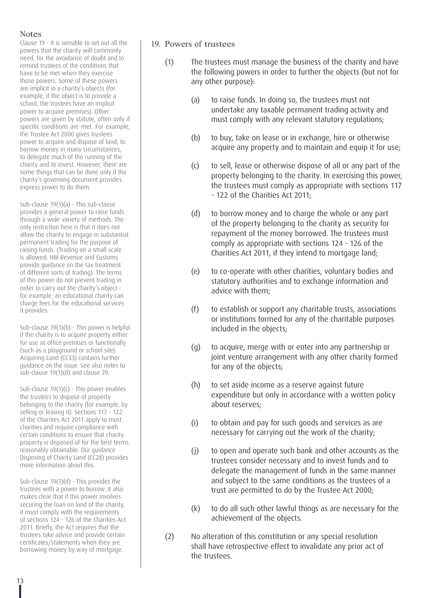Clause 19 - It is sensible to set out all the powers that the charity will commonly need, for the avoidance of doubt and to remind trustees of the conditions that have to be met when they exercise those powers. Some of these powers are implicit in a charity's objects (for example, if the object is to provide a school, the trustees have an implicit power to acquire premises). Other powers are given by statute, often only if specific conditions are met. For example, the Trustee Act 2000 gives trustees power to acquire and dispose of land, to borrow money in many circumstances, to delegate much of the running of the charity and to invest. However, there are some things that can be done only if the charity's governing document provides express power to do them.

Sub-clause 19(1)(a) - This sub-clause provides a general power to raise funds through a wide variety of methods. The only restriction here is that it does not allow the charity to engage in substantial permanent trading for the purpose of raising funds. (Trading on a small scale is allowed. HM Revenue and Customs provide guidance on the tax treatment of different sorts of trading). The terms of this power do not prevent trading in order to carry out the charity's object for example, an educational charity can charge fees for the educational services it provides.

Sub-clause 19(1)(b) - This power is helpful if the charity is to acquire property either for use as office premises or functionally (such as a playground or school site). Acquiring Land (CC33) contains further guidance on the issue. See also notes to sub-clause 19(1)(d) and clause 29.

Sub-clause  $19(1)(c)$  - This power enables the trustees to dispose of property belonging to the charity (for example, by selling or leasing it). Sections 117 - 122 of the Charities Act 2011 apply to most charities and require compliance with certain conditions to ensure that charity property is disposed of for the best terms reasonably obtainable. Our guidance Disposing of Charity Land (CC28) provides more information about this.

Sub-clause 19(1)(d) - This provides the trustees with a power to borrow. It also makes clear that if this power involves securing the loan on land of the charity, it must comply with the requirements of sections 124 - 126 of the Charities Act 2011. Briefly, the Act requires that the trustees take advice and provide certain certificates/statements when they are borrowing money by way of mortgage.

# 19. Powers of trustees

- (1) The trustees must manage the business of the charity and have the following powers in order to further the objects (but not for any other purpose):
	- (a) to raise funds. In doing so, the trustees must not undertake any taxable permanent trading activity and must comply with any relevant statutory regulations;
	- (b) to buy, take on lease or in exchange, hire or otherwise acquire any property and to maintain and equip it for use;
	- (c) to sell, lease or otherwise dispose of all or any part of the property belonging to the charity. In exercising this power, the trustees must comply as appropriate with sections 117 - 122 of the Charities Act 2011;
	- (d) to borrow money and to charge the whole or any part of the property belonging to the charity as security for repayment of the money borrowed. The trustees must comply as appropriate with sections 124 - 126 of the Charities Act 2011, if they intend to mortgage land;
	- (e) to co-operate with other charities, voluntary bodies and statutory authorities and to exchange information and advice with them;
	- (f) to establish or support any charitable trusts, associations or institutions formed for any of the charitable purposes included in the objects;
	- (g) to acquire, merge with or enter into any partnership or joint venture arrangement with any other charity formed for any of the objects;
	- (h) to set aside income as a reserve against future expenditure but only in accordance with a written policy about reserves;
	- (i) to obtain and pay for such goods and services as are necessary for carrying out the work of the charity;
	- (j) to open and operate such bank and other accounts as the trustees consider necessary and to invest funds and to delegate the management of funds in the same manner and subject to the same conditions as the trustees of a trust are permitted to do by the Trustee Act 2000;
	- (k) to do all such other lawful things as are necessary for the achievement of the objects.
- (2) No alteration of this constitution or any special resolution shall have retrospective effect to invalidate any prior act of the trustees.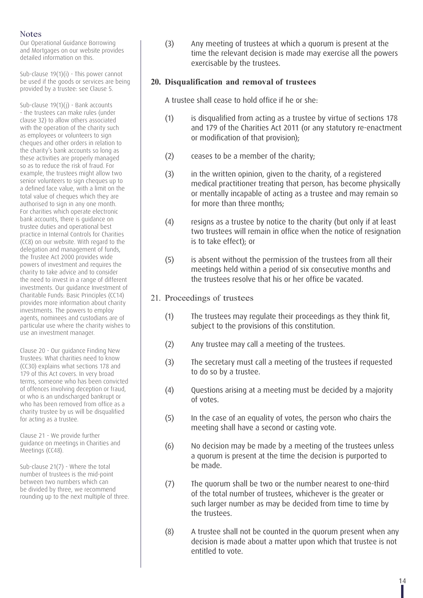Our Operational Guidance Borrowing and Mortgages on our website provides detailed information on this.

Sub-clause 19(1)(i) - This power cannot be used if the goods or services are being provided by a trustee: see Clause 5.

Sub-clause  $19(1)(j)$  - Bank accounts - the trustees can make rules (under clause 32) to allow others associated with the operation of the charity such as employees or volunteers to sign cheques and other orders in relation to the charity's bank accounts so long as these activities are properly managed so as to reduce the risk of fraud. For example, the trustees might allow two senior volunteers to sign cheques up to a defined face value, with a limit on the total value of cheques which they are authorised to sign in any one month. For charities which operate electronic bank accounts, there is guidance on trustee duties and operational best practice in Internal Controls for Charities (CC8) on our website. With regard to the delegation and management of funds, the Trustee Act 2000 provides wide powers of investment and requires the charity to take advice and to consider the need to invest in a range of different investments. Our guidance Investment of Charitable Funds: Basic Principles (CC14) provides more information about charity investments. The powers to employ agents, nominees and custodians are of particular use where the charity wishes to use an investment manager.

Clause 20 - Our guidance Finding New Trustees: What charities need to know (CC30) explains what sections 178 and 179 of this Act covers. In very broad terms, someone who has been convicted of offences involving deception or fraud, or who is an undischarged bankrupt or who has been removed from office as a charity trustee by us will be disqualified for acting as a trustee.

Clause 21 - We provide further guidance on meetings in Charities and Meetings (CC48).

Sub-clause  $21(7)$  - Where the total be made. number of trustees is the mid-point between two numbers which can be divided by three, we recommend rounding up to the next multiple of three.

(3) Any meeting of trustees at which a quorum is present at the time the relevant decision is made may exercise all the powers exercisable by the trustees.

# **20. Disqualification and removal of trustees**

A trustee shall cease to hold office if he or she:

- (1) is disqualified from acting as a trustee by virtue of sections 178 and 179 of the Charities Act 2011 (or any statutory re-enactment or modification of that provision);
- (2) ceases to be a member of the charity;
- (3) in the written opinion, given to the charity, of a registered medical practitioner treating that person, has become physically or mentally incapable of acting as a trustee and may remain so for more than three months;
- (4) resigns as a trustee by notice to the charity (but only if at least two trustees will remain in office when the notice of resignation is to take effect); or
- (5) is absent without the permission of the trustees from all their meetings held within a period of six consecutive months and the trustees resolve that his or her office be vacated.
- 21. Proceedings of trustees
	- (1) The trustees may regulate their proceedings as they think fit, subject to the provisions of this constitution.
	- (2) Any trustee may call a meeting of the trustees.
	- (3) The secretary must call a meeting of the trustees if requested to do so by a trustee.
	- (4) Questions arising at a meeting must be decided by a majority of votes.
	- (5) In the case of an equality of votes, the person who chairs the meeting shall have a second or casting vote.
	- (6) No decision may be made by a meeting of the trustees unless a quorum is present at the time the decision is purported to
	- (7) The quorum shall be two or the number nearest to one-third of the total number of trustees, whichever is the greater or such larger number as may be decided from time to time by the trustees.
	- (8) A trustee shall not be counted in the quorum present when any decision is made about a matter upon which that trustee is not entitled to vote.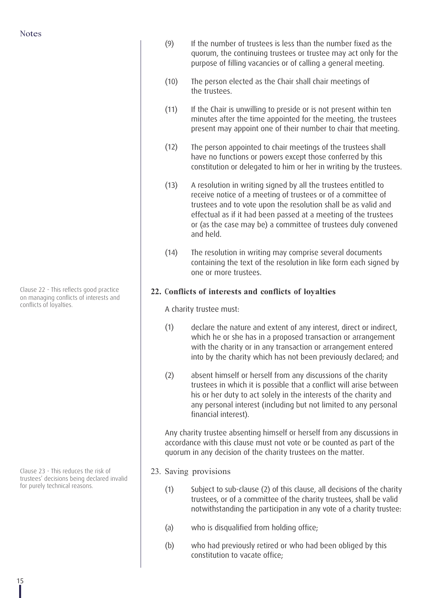Clause 22 - This reflects good practice on managing conflicts of interests and conflicts of loyalties.

Clause 23 - This reduces the risk of  $\vert$  23. Saving provisions trustees' decisions being declared invalid for purely technical reasons.

- (9) If the number of trustees is less than the number fixed as the quorum, the continuing trustees or trustee may act only for the purpose of filling vacancies or of calling a general meeting.
- (10) The person elected as the Chair shall chair meetings of the trustees.
- (11) If the Chair is unwilling to preside or is not present within ten minutes after the time appointed for the meeting, the trustees present may appoint one of their number to chair that meeting.
- (12) The person appointed to chair meetings of the trustees shall have no functions or powers except those conferred by this constitution or delegated to him or her in writing by the trustees.
- (13) A resolution in writing signed by all the trustees entitled to receive notice of a meeting of trustees or of a committee of trustees and to vote upon the resolution shall be as valid and effectual as if it had been passed at a meeting of the trustees or (as the case may be) a committee of trustees duly convened and held.
- (14) The resolution in writing may comprise several documents containing the text of the resolution in like form each signed by one or more trustees.

# **22. Conflicts of interests and conflicts of loyalties**

A charity trustee must:

- (1) declare the nature and extent of any interest, direct or indirect, which he or she has in a proposed transaction or arrangement with the charity or in any transaction or arrangement entered into by the charity which has not been previously declared; and
- (2) absent himself or herself from any discussions of the charity trustees in which it is possible that a conflict will arise between his or her duty to act solely in the interests of the charity and any personal interest (including but not limited to any personal financial interest).

Any charity trustee absenting himself or herself from any discussions in accordance with this clause must not vote or be counted as part of the quorum in any decision of the charity trustees on the matter.

- - (1) Subject to sub-clause (2) of this clause, all decisions of the charity trustees, or of a committee of the charity trustees, shall be valid notwithstanding the participation in any vote of a charity trustee:
	- (a) who is disqualified from holding office;
	- (b) who had previously retired or who had been obliged by this constitution to vacate office;

15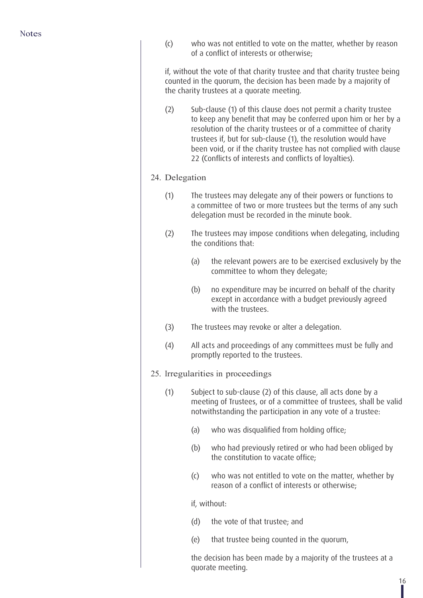(c) who was not entitled to vote on the matter, whether by reason of a conflict of interests or otherwise;

if, without the vote of that charity trustee and that charity trustee being counted in the quorum, the decision has been made by a majority of the charity trustees at a quorate meeting.

(2) Sub-clause (1) of this clause does not permit a charity trustee to keep any benefit that may be conferred upon him or her by a resolution of the charity trustees or of a committee of charity trustees if, but for sub-clause (1), the resolution would have been void, or if the charity trustee has not complied with clause 22 (Conflicts of interests and conflicts of loyalties).

# 24. Delegation

- (1) The trustees may delegate any of their powers or functions to a committee of two or more trustees but the terms of any such delegation must be recorded in the minute book.
- (2) The trustees may impose conditions when delegating, including the conditions that:
	- (a) the relevant powers are to be exercised exclusively by the committee to whom they delegate;
	- (b) no expenditure may be incurred on behalf of the charity except in accordance with a budget previously agreed with the trustees.
- (3) The trustees may revoke or alter a delegation.
- (4) All acts and proceedings of any committees must be fully and promptly reported to the trustees.
- 25. Irregularities in proceedings
	- (1) Subject to sub-clause (2) of this clause, all acts done by a meeting of Trustees, or of a committee of trustees, shall be valid notwithstanding the participation in any vote of a trustee:
		- (a) who was disqualified from holding office;
		- (b) who had previously retired or who had been obliged by the constitution to vacate office;
		- (c) who was not entitled to vote on the matter, whether by reason of a conflict of interests or otherwise;

### if, without:

- (d) the vote of that trustee; and
- (e) that trustee being counted in the quorum,

the decision has been made by a majority of the trustees at a quorate meeting.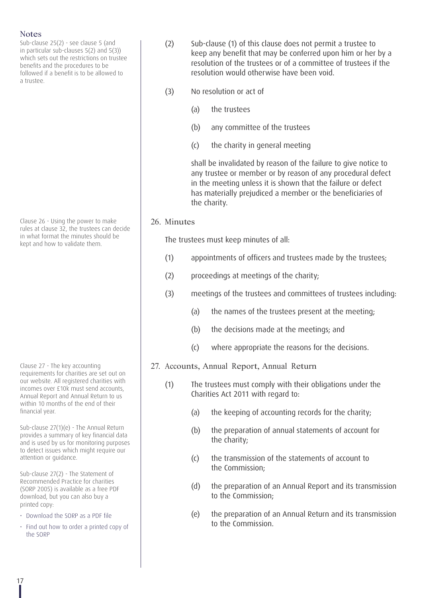Sub-clause 25(2) - see clause 5 (and in particular sub-clauses 5(2) and 5(3)) which sets out the restrictions on trustee benefits and the procedures to be followed if a benefit is to be allowed to a trustee.

Clause 26 - Using the power to make  $\vert$  26. Minutes rules at clause 32, the trustees can decide in what format the minutes should be kept and how to validate them.

requirements for charities are set out on our website. All registered charities with incomes over £10k must send accounts, Annual Report and Annual Return to us within 10 months of the end of their financial year.

Sub-clause 27(1)(e) - The Annual Return provides a summary of key financial data and is used by us for monitoring purposes to detect issues which might require our attention or guidance.

Sub-clause 27(2) - The Statement of Recommended Practice for charities (SORP 2005) is available as a free PDF download, but you can also buy a printed copy:

• [Download the SORP as a PDF file](http://www.charitycommission.gov.uk/Library/guidance/sorp05textcolour.pdf)

17

• [Find out how to order a printed copy](http://www.charitycommission.gov.uk/Charity_requirements_guidance/Accounting_and_reporting/Preparing_charity_accounts/Printed_SORP.aspx) o[f](http://www.charitycommission.gov.uk/Charity_requirements_guidance/Accounting_and_reporting/Preparing_charity_accounts/Printed_SORP.aspx) [the SORP](http://www.charitycommission.gov.uk/Charity_requirements_guidance/Accounting_and_reporting/Preparing_charity_accounts/Printed_SORP.aspx)

- (2) Sub-clause (1) of this clause does not permit a trustee to keep any benefit that may be conferred upon him or her by a resolution of the trustees or of a committee of trustees if the resolution would otherwise have been void.
- (3) No resolution or act of
	- (a) the trustees
	- (b) any committee of the trustees
	- (c) the charity in general meeting

shall be invalidated by reason of the failure to give notice to any trustee or member or by reason of any procedural defect in the meeting unless it is shown that the failure or defect has materially prejudiced a member or the beneficiaries of the charity.

The trustees must keep minutes of all:

- (1) appointments of officers and trustees made by the trustees;
- (2) proceedings at meetings of the charity;
- (3) meetings of the trustees and committees of trustees including:
	- (a) the names of the trustees present at the meeting;
	- (b) the decisions made at the meetings; and
	- (c) where appropriate the reasons for the decisions.
- Clause 27 The key accounting 27. Accounts, Annual Report, Annual Return
	- (1) The trustees must comply with their obligations under the Charities Act 2011 with regard to:
		- (a) the keeping of accounting records for the charity;
		- (b) the preparation of annual statements of account for the charity;
		- (c) the transmission of the statements of account to the Commission;
		- (d) the preparation of an Annual Report and its transmission to the Commission;
		- (e) the preparation of an Annual Return and its transmission to the Commission.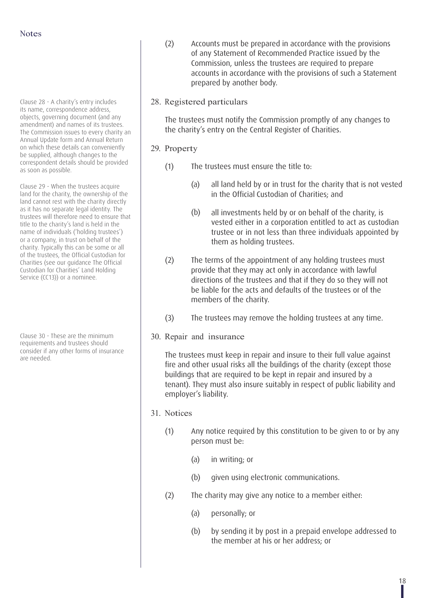Clause 28 - A charity's entry includes 28. Registered particulars its name, correspondence address, objects, governing document (and any amendment) and names of its trustees. The Commission issues to every charity an Annual Update form and Annual Return on which these details can conveniently be supplied, although changes to the correspondent details should be provided as soon as possible.

Clause 29 - When the trustees acquire land for the charity, the ownership of the land cannot rest with the charity directly as it has no separate legal identity. The trustees will therefore need to ensure that title to the charity's land is held in the name of individuals ('holding trustees') or a company, in trust on behalf of the charity. Typically this can be some or all of the trustees, the Official Custodian for Charities (see our guidance The Official Custodian for Charities' Land Holding Service (CC13)) or a nominee.

Clause 30 - These are the minimum requirements and trustees should consider if any other forms of insurance are needed.

- (2) Accounts must be prepared in accordance with the provisions of any Statement of Recommended Practice issued by the Commission, unless the trustees are required to prepare accounts in accordance with the provisions of such a Statement prepared by another body.
- 

The trustees must notify the Commission promptly of any changes to the charity's entry on the Central Register of Charities.

- 29. Property
	- (1) The trustees must ensure the title to:
		- (a) all land held by or in trust for the charity that is not vested in the Official Custodian of Charities; and
		- (b) all investments held by or on behalf of the charity, is vested either in a corporation entitled to act as custodian trustee or in not less than three individuals appointed by them as holding trustees.
	- (2) The terms of the appointment of any holding trustees must provide that they may act only in accordance with lawful directions of the trustees and that if they do so they will not be liable for the acts and defaults of the trustees or of the members of the charity.
	- (3) The trustees may remove the holding trustees at any time.
- 30. Repair and insurance

The trustees must keep in repair and insure to their full value against fire and other usual risks all the buildings of the charity (except those buildings that are required to be kept in repair and insured by a tenant). They must also insure suitably in respect of public liability and employer's liability.

- 31. Notices
	- (1) Any notice required by this constitution to be given to or by any person must be:
		- (a) in writing; or
		- (b) given using electronic communications.
	- (2) The charity may give any notice to a member either:
		- (a) personally; or
		- (b) by sending it by post in a prepaid envelope addressed to the member at his or her address; or

18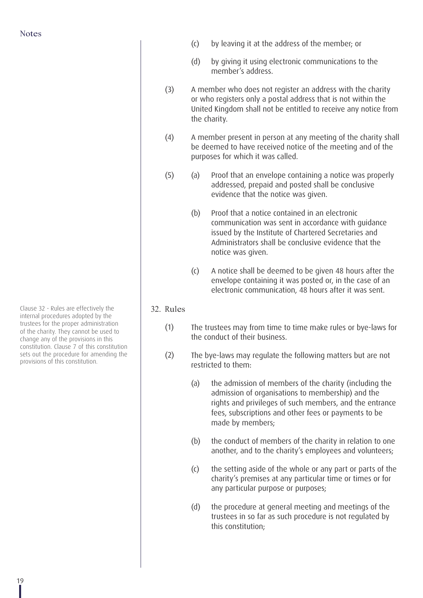Clause 32 - Rules are effectively the  $\vert$  32. Rules internal procedures adopted by the trustees for the proper administration of the charity. They cannot be used to change any of the provisions in this constitution. Clause 7 of this constitution sets out the procedure for amending the provisions of this constitution.

- (c) by leaving it at the address of the member; or
- (d) by giving it using electronic communications to the member's address.
- (3) A member who does not register an address with the charity or who registers only a postal address that is not within the United Kingdom shall not be entitled to receive any notice from the charity.
- (4) A member present in person at any meeting of the charity shall be deemed to have received notice of the meeting and of the purposes for which it was called.
- (5) (a) Proof that an envelope containing a notice was properly addressed, prepaid and posted shall be conclusive evidence that the notice was given.
	- (b) Proof that a notice contained in an electronic communication was sent in accordance with guidance issued by the Institute of Chartered Secretaries and Administrators shall be conclusive evidence that the notice was given.
	- (c) A notice shall be deemed to be given 48 hours after the envelope containing it was posted or, in the case of an electronic communication, 48 hours after it was sent.

- (1) The trustees may from time to time make rules or bye-laws for the conduct of their business.
- (2) The bye-laws may regulate the following matters but are not restricted to them:
	- (a) the admission of members of the charity (including the admission of organisations to membership) and the rights and privileges of such members, and the entrance fees, subscriptions and other fees or payments to be made by members;
	- (b) the conduct of members of the charity in relation to one another, and to the charity's employees and volunteers;
	- (c) the setting aside of the whole or any part or parts of the charity's premises at any particular time or times or for any particular purpose or purposes;
	- (d) the procedure at general meeting and meetings of the trustees in so far as such procedure is not regulated by this constitution;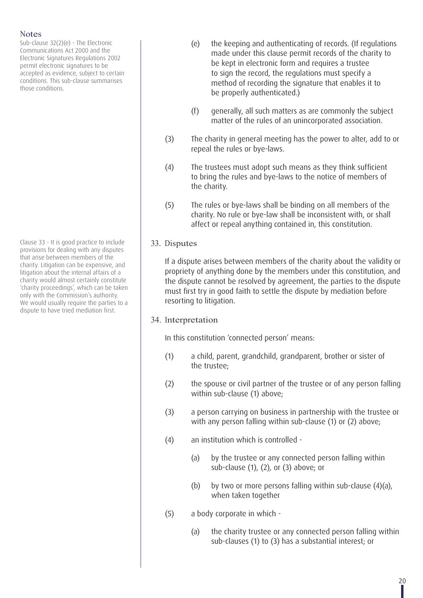Sub-clause 32(2)(e) - The Electronic Communications Act 2000 and the Electronic Signatures Regulations 2002 permit electronic signatures to be accepted as evidence, subject to certain conditions. This sub-clause summarises those conditions.

Clause 33 - It is good practice to include provisions for dealing with any disputes that arise between members of the charity. Litigation can be expensive, and litigation about the internal affairs of a charity would almost certainly constitute 'charity proceedings', which can be taken only with the Commission's authority. We would usually require the parties to a dispute to have tried mediation first.

- (e) the keeping and authenticating of records. (If regulations made under this clause permit records of the charity to be kept in electronic form and requires a trustee to sign the record, the regulations must specify a method of recording the signature that enables it to be properly authenticated.)
- (f) generally, all such matters as are commonly the subject matter of the rules of an unincorporated association.
- (3) The charity in general meeting has the power to alter, add to or repeal the rules or bye-laws.
- (4) The trustees must adopt such means as they think sufficient to bring the rules and bye-laws to the notice of members of the charity.
- (5) The rules or bye-laws shall be binding on all members of the charity. No rule or bye-law shall be inconsistent with, or shall affect or repeal anything contained in, this constitution.
- 33. Disputes

If a dispute arises between members of the charity about the validity or propriety of anything done by the members under this constitution, and the dispute cannot be resolved by agreement, the parties to the dispute must first try in good faith to settle the dispute by mediation before resorting to litigation.

34. Interpretation

In this constitution 'connected person' means:

- (1) a child, parent, grandchild, grandparent, brother or sister of the trustee;
- (2) the spouse or civil partner of the trustee or of any person falling within sub-clause (1) above;
- (3) a person carrying on business in partnership with the trustee or with any person falling within sub-clause (1) or (2) above;
- (4) an institution which is controlled
	- (a) by the trustee or any connected person falling within sub-clause (1), (2), or (3) above; or
	- (b) by two or more persons falling within sub-clause (4)(a), when taken together
- (5) a body corporate in which
	- (a) the charity trustee or any connected person falling within sub-clauses (1) to (3) has a substantial interest; or